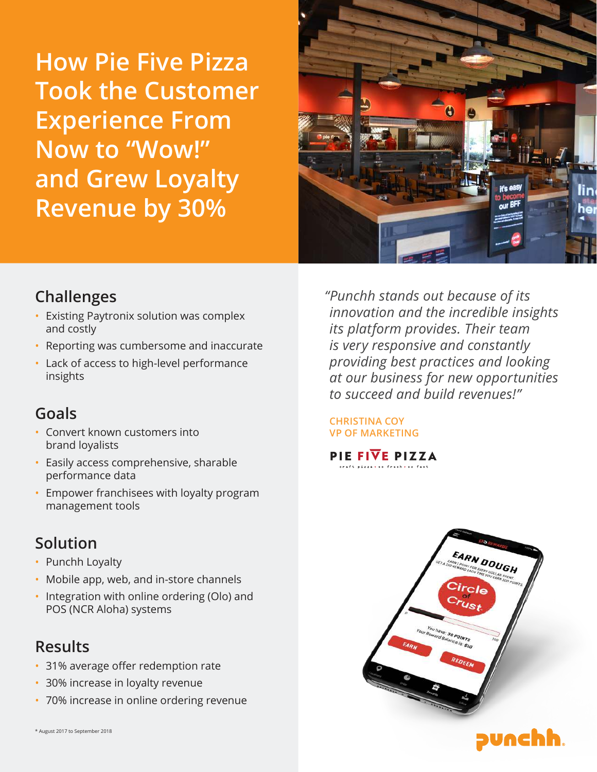**How Pie Five Pizza Took the Customer Experience From Now to "Wow!" and Grew Loyalty Revenue by 30%**



### **Challenges**

- Existing Paytronix solution was complex and costly
- Reporting was cumbersome and inaccurate
- Lack of access to high-level performance insights

# **Goals**

- Convert known customers into brand loyalists
- Easily access comprehensive, sharable performance data
- Empower franchisees with loyalty program management tools

# **Solution**

- Punchh Loyalty
- Mobile app, web, and in-store channels
- Integration with online ordering (Olo) and POS (NCR Aloha) systems

## **Results**

- 31% average offer redemption rate
- 30% increase in loyalty revenue
- 70% increase in online ordering revenue

\* August 2017 to September 2018

*"Punchh stands out because of its innovation and the incredible insights its platform provides. Their team is very responsive and constantly providing best practices and looking at our business for new opportunities to succeed and build revenues!"*

### **CHRISTINA COY VP OF MARKETING**

PIE FIVE PIZZA